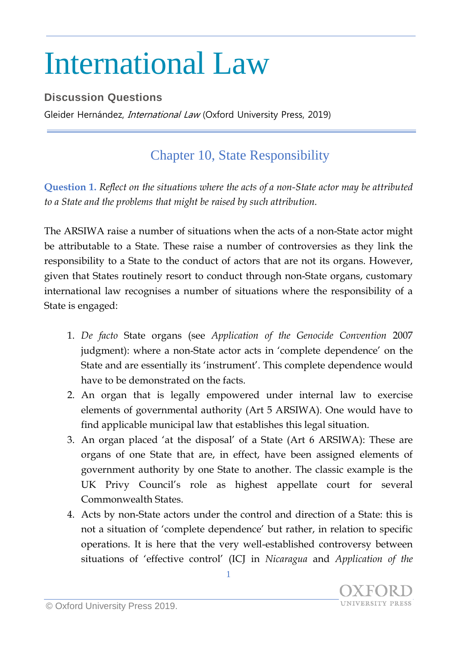## International Law

## **Discussion Questions**

Gleider Hernández, *International Law* (Oxford University Press, 2019)

## Chapter 10, State Responsibility

**Question 1.** *Reflect on the situations where the acts of a non-State actor may be attributed to a State and the problems that might be raised by such attribution.*

The ARSIWA raise a number of situations when the acts of a non-State actor might be attributable to a State. These raise a number of controversies as they link the responsibility to a State to the conduct of actors that are not its organs. However, given that States routinely resort to conduct through non-State organs, customary international law recognises a number of situations where the responsibility of a State is engaged:

- 1. *De facto* State organs (see *Application of the Genocide Convention* 2007 judgment): where a non-State actor acts in 'complete dependence' on the State and are essentially its 'instrument'. This complete dependence would have to be demonstrated on the facts.
- 2. An organ that is legally empowered under internal law to exercise elements of governmental authority (Art 5 ARSIWA). One would have to find applicable municipal law that establishes this legal situation.
- 3. An organ placed 'at the disposal' of a State (Art 6 ARSIWA): These are organs of one State that are, in effect, have been assigned elements of government authority by one State to another. The classic example is the UK Privy Council's role as highest appellate court for several Commonwealth States.
- 4. Acts by non-State actors under the control and direction of a State: this is not a situation of 'complete dependence' but rather, in relation to specific operations. It is here that the very well-established controversy between situations of 'effective control' (ICJ in *Nicaragua* and *Application of the*

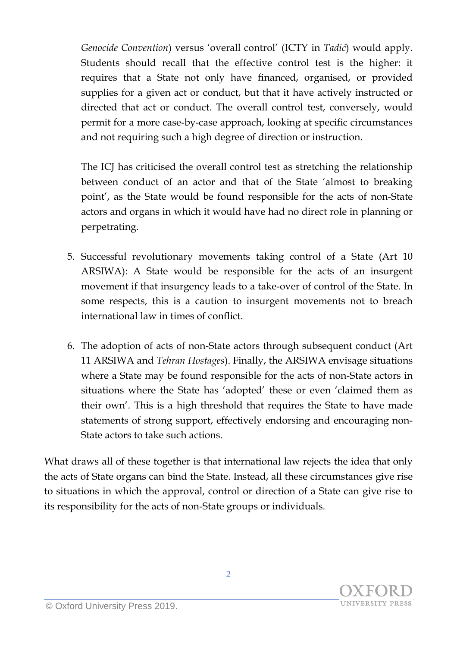*Genocide Convention*) versus 'overall control' (ICTY in *Tadić*) would apply. Students should recall that the effective control test is the higher: it requires that a State not only have financed, organised, or provided supplies for a given act or conduct, but that it have actively instructed or directed that act or conduct. The overall control test, conversely, would permit for a more case-by-case approach, looking at specific circumstances and not requiring such a high degree of direction or instruction.

The ICJ has criticised the overall control test as stretching the relationship between conduct of an actor and that of the State 'almost to breaking point', as the State would be found responsible for the acts of non-State actors and organs in which it would have had no direct role in planning or perpetrating.

- 5. Successful revolutionary movements taking control of a State (Art 10 ARSIWA): A State would be responsible for the acts of an insurgent movement if that insurgency leads to a take-over of control of the State. In some respects, this is a caution to insurgent movements not to breach international law in times of conflict.
- 6. The adoption of acts of non-State actors through subsequent conduct (Art 11 ARSIWA and *Tehran Hostages*). Finally, the ARSIWA envisage situations where a State may be found responsible for the acts of non-State actors in situations where the State has 'adopted' these or even 'claimed them as their own'. This is a high threshold that requires the State to have made statements of strong support, effectively endorsing and encouraging non-State actors to take such actions.

What draws all of these together is that international law rejects the idea that only the acts of State organs can bind the State. Instead, all these circumstances give rise to situations in which the approval, control or direction of a State can give rise to its responsibility for the acts of non-State groups or individuals.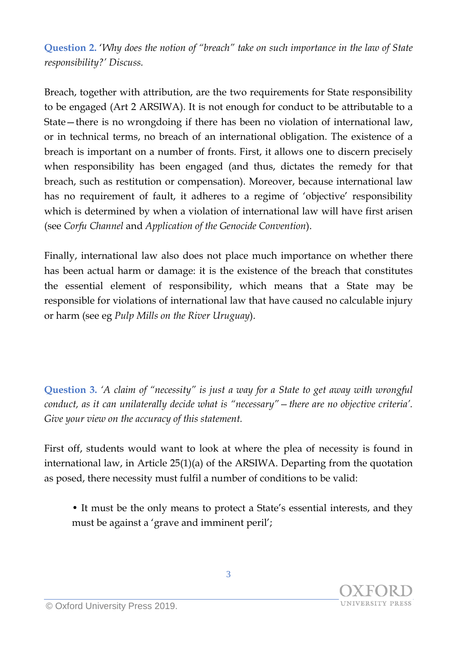**Question 2.** '*Why does the notion of "breach" take on such importance in the law of State responsibility?' Discuss.*

Breach, together with attribution, are the two requirements for State responsibility to be engaged (Art 2 ARSIWA). It is not enough for conduct to be attributable to a State—there is no wrongdoing if there has been no violation of international law, or in technical terms, no breach of an international obligation. The existence of a breach is important on a number of fronts. First, it allows one to discern precisely when responsibility has been engaged (and thus, dictates the remedy for that breach, such as restitution or compensation). Moreover, because international law has no requirement of fault, it adheres to a regime of 'objective' responsibility which is determined by when a violation of international law will have first arisen (see *Corfu Channel* and *Application of the Genocide Convention*).

Finally, international law also does not place much importance on whether there has been actual harm or damage: it is the existence of the breach that constitutes the essential element of responsibility, which means that a State may be responsible for violations of international law that have caused no calculable injury or harm (see eg *Pulp Mills on the River Uruguay*).

**Question 3.** *'A claim of "necessity" is just a way for a State to get away with wrongful conduct, as it can unilaterally decide what is "necessary"—there are no objective criteria'. Give your view on the accuracy of this statement.*

First off, students would want to look at where the plea of necessity is found in international law, in Article 25(1)(a) of the ARSIWA. Departing from the quotation as posed, there necessity must fulfil a number of conditions to be valid:

• It must be the only means to protect a State's essential interests, and they must be against a 'grave and imminent peril';